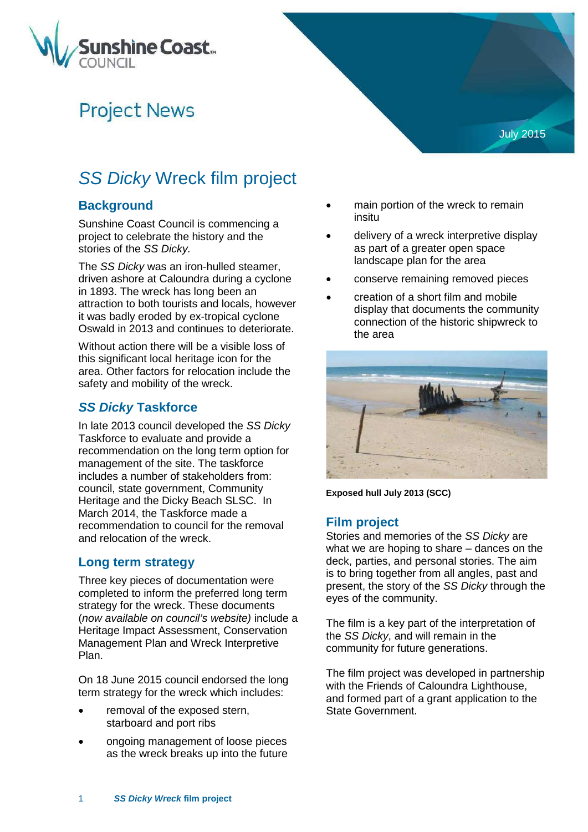

# **Project News**

# *SS Dicky* Wreck film project

### **Background**

Sunshine Coast Council is commencing a project to celebrate the history and the stories of the *SS Dicky.* 

The *SS Dicky* was an iron-hulled steamer, driven ashore at Caloundra during a cyclone in 1893. The wreck has long been an attraction to both tourists and locals, however it was badly eroded by ex-tropical cyclone Oswald in 2013 and continues to deteriorate.

Without action there will be a visible loss of this significant local heritage icon for the area. Other factors for relocation include the safety and mobility of the wreck.

#### *SS Dicky* **Taskforce**

In late 2013 council developed the *SS Dicky* Taskforce to evaluate and provide a recommendation on the long term option for management of the site. The taskforce includes a number of stakeholders from: council, state government, Community Heritage and the Dicky Beach SLSC. In March 2014, the Taskforce made a recommendation to council for the removal and relocation of the wreck.

#### **Long term strategy**

Three key pieces of documentation were completed to inform the preferred long term strategy for the wreck. These documents (*now available on council's website)* include a Heritage Impact Assessment, Conservation Management Plan and Wreck Interpretive Plan.

On 18 June 2015 council endorsed the long term strategy for the wreck which includes:

- removal of the exposed stern, starboard and port ribs
- ongoing management of loose pieces as the wreck breaks up into the future

main portion of the wreck to remain insitu

July 2015

- delivery of a wreck interpretive display as part of a greater open space landscape plan for the area
- conserve remaining removed pieces
- creation of a short film and mobile display that documents the community connection of the historic shipwreck to the area



**Exposed hull July 2013 (SCC)**

#### **Film project**

Stories and memories of the *SS Dicky* are what we are hoping to share – dances on the deck, parties, and personal stories. The aim is to bring together from all angles, past and present, the story of the *SS Dicky* through the eyes of the community.

The film is a key part of the interpretation of the *SS Dicky*, and will remain in the community for future generations.

The film project was developed in partnership with the Friends of Caloundra Lighthouse, and formed part of a grant application to the State Government.